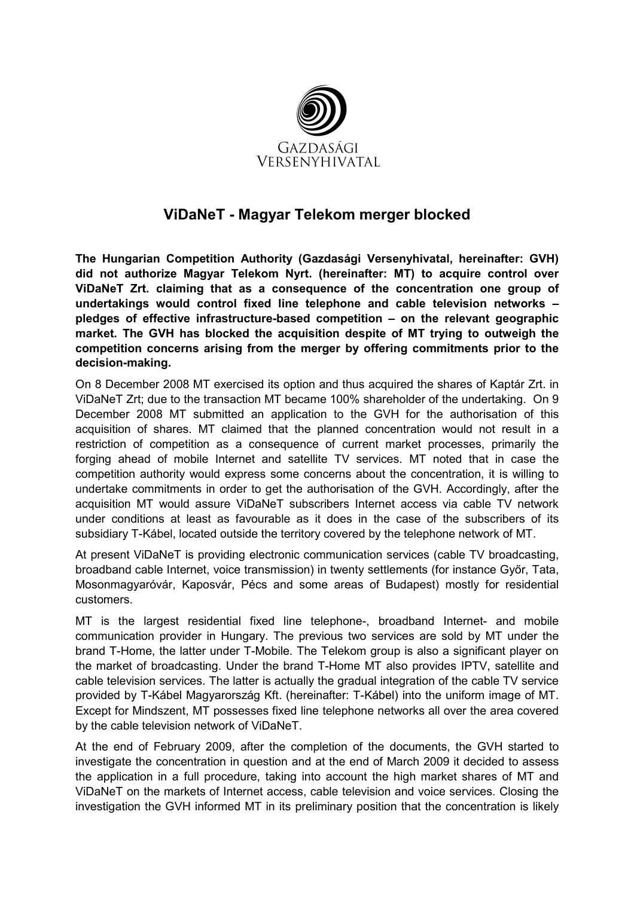

## ViDaNeT - Magyar Telekom merger blocked

The Hungarian Competition Authority (Gazdasági Versenyhivatal, hereinafter: GVH) did not authorize Magyar Telekom Nyrt. (hereinafter: MT) to acquire control over ViDaNeT Zrt. claiming that as a consequence of the concentration one group of undertakings would control fixed line telephone and cable television networks – pledges of effective infrastructure-based competition – on the relevant geographic market. The GVH has blocked the acquisition despite of MT trying to outweigh the competition concerns arising from the merger by offering commitments prior to the decision-making.

On 8 December 2008 MT exercised its option and thus acquired the shares of Kaptár Zrt. in ViDaNeT Zrt; due to the transaction MT became 100% shareholder of the undertaking. On 9 December 2008 MT submitted an application to the GVH for the authorisation of this acquisition of shares. MT claimed that the planned concentration would not result in a restriction of competition as a consequence of current market processes, primarily the forging ahead of mobile Internet and satellite TV services. MT noted that in case the competition authority would express some concerns about the concentration, it is willing to undertake commitments in order to get the authorisation of the GVH. Accordingly, after the acquisition MT would assure ViDaNeT subscribers Internet access via cable TV network under conditions at least as favourable as it does in the case of the subscribers of its subsidiary T-Kábel, located outside the territory covered by the telephone network of MT.

At present ViDaNeT is providing electronic communication services (cable TV broadcasting, broadband cable Internet, voice transmission) in twenty settlements (for instance Győr, Tata, Mosonmagyaróvár, Kaposvár, Pécs and some areas of Budapest) mostly for residential customers.

MT is the largest residential fixed line telephone-, broadband Internet- and mobile communication provider in Hungary. The previous two services are sold by MT under the brand T-Home, the latter under T-Mobile. The Telekom group is also a significant player on the market of broadcasting. Under the brand T-Home MT also provides IPTV, satellite and cable television services. The latter is actually the gradual integration of the cable TV service provided by T-Kábel Magyarország Kft. (hereinafter: T-Kábel) into the uniform image of MT. Except for Mindszent, MT possesses fixed line telephone networks all over the area covered by the cable television network of ViDaNeT.

At the end of February 2009, after the completion of the documents, the GVH started to investigate the concentration in question and at the end of March 2009 it decided to assess the application in a full procedure, taking into account the high market shares of MT and ViDaNeT on the markets of Internet access, cable television and voice services. Closing the investigation the GVH informed MT in its preliminary position that the concentration is likely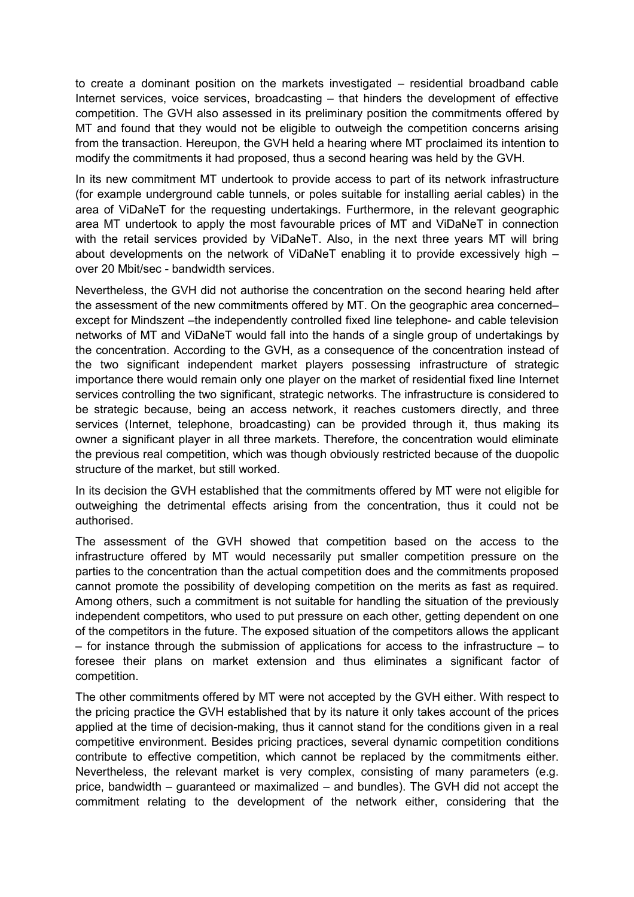to create a dominant position on the markets investigated – residential broadband cable Internet services, voice services, broadcasting – that hinders the development of effective competition. The GVH also assessed in its preliminary position the commitments offered by MT and found that they would not be eligible to outweigh the competition concerns arising from the transaction. Hereupon, the GVH held a hearing where MT proclaimed its intention to modify the commitments it had proposed, thus a second hearing was held by the GVH.

In its new commitment MT undertook to provide access to part of its network infrastructure (for example underground cable tunnels, or poles suitable for installing aerial cables) in the area of ViDaNeT for the requesting undertakings. Furthermore, in the relevant geographic area MT undertook to apply the most favourable prices of MT and ViDaNeT in connection with the retail services provided by ViDaNeT. Also, in the next three years MT will bring about developments on the network of ViDaNeT enabling it to provide excessively high – over 20 Mbit/sec - bandwidth services.

Nevertheless, the GVH did not authorise the concentration on the second hearing held after the assessment of the new commitments offered by MT. On the geographic area concerned– except for Mindszent –the independently controlled fixed line telephone- and cable television networks of MT and ViDaNeT would fall into the hands of a single group of undertakings by the concentration. According to the GVH, as a consequence of the concentration instead of the two significant independent market players possessing infrastructure of strategic importance there would remain only one player on the market of residential fixed line Internet services controlling the two significant, strategic networks. The infrastructure is considered to be strategic because, being an access network, it reaches customers directly, and three services (Internet, telephone, broadcasting) can be provided through it, thus making its owner a significant player in all three markets. Therefore, the concentration would eliminate the previous real competition, which was though obviously restricted because of the duopolic structure of the market, but still worked.

In its decision the GVH established that the commitments offered by MT were not eligible for outweighing the detrimental effects arising from the concentration, thus it could not be authorised.

The assessment of the GVH showed that competition based on the access to the infrastructure offered by MT would necessarily put smaller competition pressure on the parties to the concentration than the actual competition does and the commitments proposed cannot promote the possibility of developing competition on the merits as fast as required. Among others, such a commitment is not suitable for handling the situation of the previously independent competitors, who used to put pressure on each other, getting dependent on one of the competitors in the future. The exposed situation of the competitors allows the applicant – for instance through the submission of applications for access to the infrastructure – to foresee their plans on market extension and thus eliminates a significant factor of competition.

The other commitments offered by MT were not accepted by the GVH either. With respect to the pricing practice the GVH established that by its nature it only takes account of the prices applied at the time of decision-making, thus it cannot stand for the conditions given in a real competitive environment. Besides pricing practices, several dynamic competition conditions contribute to effective competition, which cannot be replaced by the commitments either. Nevertheless, the relevant market is very complex, consisting of many parameters (e.g. price, bandwidth – guaranteed or maximalized – and bundles). The GVH did not accept the commitment relating to the development of the network either, considering that the